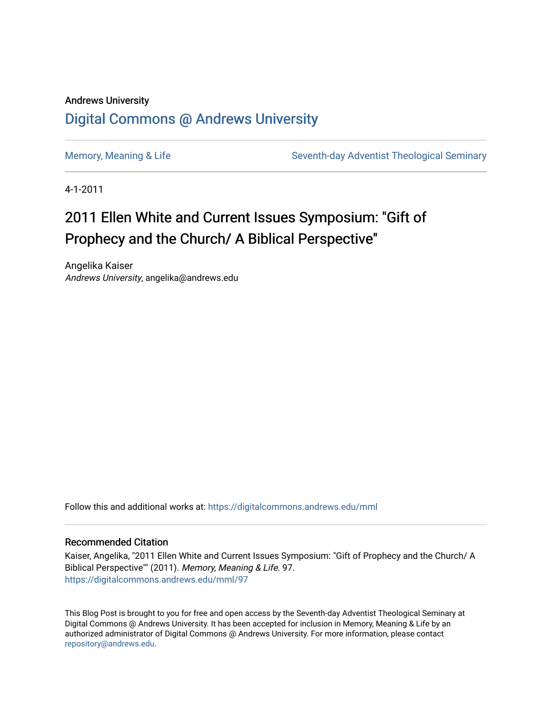## Andrews University [Digital Commons @ Andrews University](https://digitalcommons.andrews.edu/)

[Memory, Meaning & Life](https://digitalcommons.andrews.edu/mml) Seventh-day Adventist Theological Seminary

4-1-2011

# 2011 Ellen White and Current Issues Symposium: "Gift of Prophecy and the Church/ A Biblical Perspective"

Angelika Kaiser Andrews University, angelika@andrews.edu

Follow this and additional works at: [https://digitalcommons.andrews.edu/mml](https://digitalcommons.andrews.edu/mml?utm_source=digitalcommons.andrews.edu%2Fmml%2F97&utm_medium=PDF&utm_campaign=PDFCoverPages) 

#### Recommended Citation

Kaiser, Angelika, "2011 Ellen White and Current Issues Symposium: "Gift of Prophecy and the Church/ A Biblical Perspective"" (2011). Memory, Meaning & Life. 97. [https://digitalcommons.andrews.edu/mml/97](https://digitalcommons.andrews.edu/mml/97?utm_source=digitalcommons.andrews.edu%2Fmml%2F97&utm_medium=PDF&utm_campaign=PDFCoverPages)

This Blog Post is brought to you for free and open access by the Seventh-day Adventist Theological Seminary at Digital Commons @ Andrews University. It has been accepted for inclusion in Memory, Meaning & Life by an authorized administrator of Digital Commons @ Andrews University. For more information, please contact [repository@andrews.edu](mailto:repository@andrews.edu).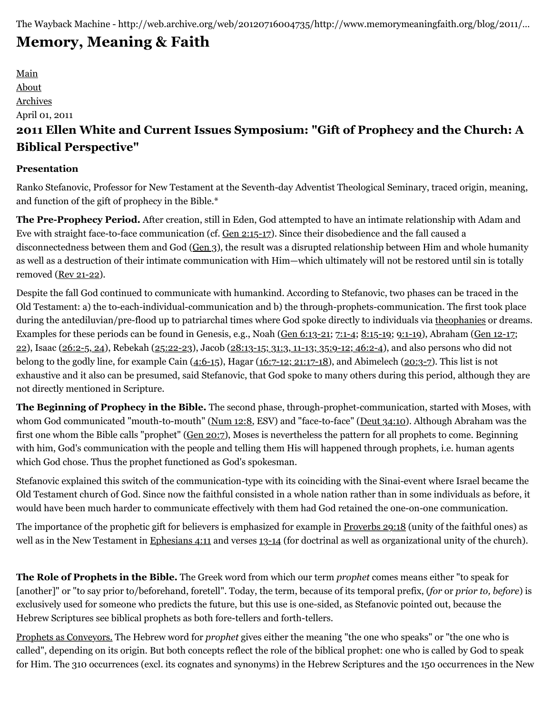# **[Memory, Meaning & Faith](http://web.archive.org/web/20120716004735/http://www.memorymeaningfaith.org/blog/)**

[Main](http://web.archive.org/web/20120716004735/http://www.memorymeaningfaith.org/blog) [About](http://web.archive.org/web/20120716004735/http://www.memorymeaningfaith.org/blog/about.html) [Archives](http://web.archive.org/web/20120716004735/http://www.memorymeaningfaith.org/blog/archives.html) April 01, 2011 **2011 Ellen White and Current Issues Symposium: "Gift of Prophecy and the Church: A Biblical Perspective"**

### **Presentation**

Ranko Stefanovic, Professor for New Testament at the Seventh-day Adventist Theological Seminary, traced origin, meaning, and function of the gift of prophecy in the Bible.\*

**The Pre-Prophecy Period.** After creation, still in Eden, God attempted to have an intimate relationship with Adam and Eve with straight face-to-face communication (cf. [Gen 2:15-17\)](http://web.archive.org/web/20120716004735/http://www.biblegateway.com/passage/?search=Gen%202:15-17&version=NKJV). Since their disobedience and the fall caused a disconnectedness between them and God ([Gen 3\)](http://web.archive.org/web/20120716004735/http://www.biblegateway.com/passage/?search=Gen%203&version=NKJV), the result was a disrupted relationship between Him and whole humanity as well as a destruction of their intimate communication with Him—which ultimately will not be restored until sin is totally removed ([Rev 21-22](http://web.archive.org/web/20120716004735/http://www.biblegateway.com/passage/?search=rev%2021-22&version=NKJV)).

Despite the fall God continued to communicate with humankind. According to Stefanovic, two phases can be traced in the Old Testament: a) the to-each-individual-communication and b) the through-prophets-communication. The first took place during the antediluvian/pre-flood up to patriarchal times where God spoke directly to individuals via [theophanies](http://web.archive.org/web/20120716004735/http://en.wikipedia.org/wiki/Theophany) or dreams. [Examples for these periods can be found in Genesis, e.g., Noah \(G](http://web.archive.org/web/20120716004735/http://www.biblegateway.com/passage/?search=Gen%2012-17;%2022&version=NKJV)[en 6:13-2](http://web.archive.org/web/20120716004735/http://www.biblegateway.com/passage/?search=Gen%206:13-21&version=NKJV)[1;](http://web.archive.org/web/20120716004735/http://www.biblegateway.com/passage/?search=Gen%2012-17;%2022&version=NKJV) [7:1-4](http://web.archive.org/web/20120716004735/http://www.biblegateway.com/passage/?search=Gen%207:1-4&version=NKJV)[; 8](http://web.archive.org/web/20120716004735/http://www.biblegateway.com/passage/?search=Gen%2012-17;%2022&version=NKJV)[:15-1](http://web.archive.org/web/20120716004735/http://www.biblegateway.com/passage/?search=Genesis%208:15-19&version=NKJV)[9; 9](http://web.archive.org/web/20120716004735/http://www.biblegateway.com/passage/?search=Gen%2012-17;%2022&version=NKJV)[:1-19](http://web.archive.org/web/20120716004735/http://www.biblegateway.com/passage/?search=Genesis%209:1-19&version=NKJV)[\), Abraham \(Gen 12-17;](http://web.archive.org/web/20120716004735/http://www.biblegateway.com/passage/?search=Gen%2012-17;%2022&version=NKJV) 22), Isaac ([26:2-5, 24](http://web.archive.org/web/20120716004735/http://www.biblegateway.com/passage/?search=Genesis%2026:2-5,%2024&version=NKJV)), Rebekah ([25:22-23](http://web.archive.org/web/20120716004735/http://www.biblegateway.com/passage/?search=Genesis%2025:22-23&version=NKJV)), Jacob ([28:13-15; 31:3, 11-13; 35:9-12; 46:2-4](http://web.archive.org/web/20120716004735/http://www.biblegateway.com/passage/?search=Genesis%2028:13-15;%2031:3,%2011-13;%2035:9-12;%2046:2-4&version=NKJV)), and also persons who did not belong to the godly line, for example Cain  $(4:6-15)$  $(4:6-15)$ , Hagar  $(16:7-12; 21:17-18)$  $(16:7-12; 21:17-18)$  $(16:7-12; 21:17-18)$ , and Abimelech  $(20:3-7)$ . This list is not exhaustive and it also can be presumed, said Stefanovic, that God spoke to many others during this period, although they are not directly mentioned in Scripture.

**The Beginning of Prophecy in the Bible.** The second phase, through-prophet-communication, started with Moses, with whom God communicated "mouth-to-mouth" [\(Num 12:8,](http://web.archive.org/web/20120716004735/http://www.biblegateway.com/passage/?search=Num%2012:8&version=ESV) ESV) and "face-to-face" [\(Deut 34:10](http://web.archive.org/web/20120716004735/http://www.biblegateway.com/passage/?search=Deut%2034:10&version=NKJV)). Although Abraham was the first one whom the Bible calls "prophet" [\(Gen 20:7](http://web.archive.org/web/20120716004735/http://www.biblegateway.com/passage/?search=Gen%2020:7&version=NKJV)), Moses is nevertheless the pattern for all prophets to come. Beginning with him, God's communication with the people and telling them His will happened through prophets, i.e. human agents which God chose. Thus the prophet functioned as God's spokesman.

Stefanovic explained this switch of the communication-type with its coinciding with the Sinai-event where Israel became the Old Testament church of God. Since now the faithful consisted in a whole nation rather than in some individuals as before, it would have been much harder to communicate effectively with them had God retained the one-on-one communication.

The importance of the prophetic gift for believers is emphasized for example in [Proverbs 29:18](http://web.archive.org/web/20120716004735/http://www.biblegateway.com/passage/?search=Proverbs%2029:18&version=NKJV) (unity of the faithful ones) as well as in the New Testament in [Ephesians 4:11](http://web.archive.org/web/20120716004735/http://www.biblegateway.com/passage/?search=Ephesians%204:11&version=NKJV) and verses [13-14](http://web.archive.org/web/20120716004735/http://www.biblegateway.com/passage/?search=Ephesians%204:13-14&version=NKJV) (for doctrinal as well as organizational unity of the church).

**The Role of Prophets in the Bible.** The Greek word from which our term *prophet* comes means either "to speak for [another]" or "to say prior to/beforehand, foretell". Today, the term, because of its temporal prefix, (*for* or *prior to, before*) is exclusively used for someone who predicts the future, but this use is one-sided, as Stefanovic pointed out, because the Hebrew Scriptures see biblical prophets as both fore-tellers and forth-tellers.

Prophets as Conveyors. The Hebrew word for *prophet* gives either the meaning "the one who speaks" or "the one who is called", depending on its origin. But both concepts reflect the role of the biblical prophet: one who is called by God to speak for Him. The 310 occurrences (excl. its cognates and synonyms) in the Hebrew Scriptures and the 150 occurrences in the New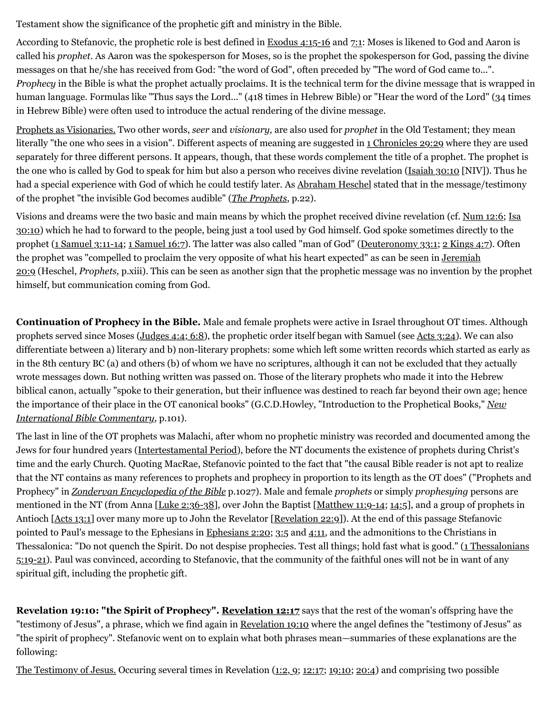Testament show the significance of the prophetic gift and ministry in the Bible.

According to Stefanovic, the prophetic role is best defined in **[Exodus 4:15-16](http://web.archive.org/web/20120716004735/http://www.biblegateway.com/passage/?search=Exodus%204:15-16&version=NKJV)** and [7:1:](http://web.archive.org/web/20120716004735/http://www.biblegateway.com/passage/?search=exodus%207:1&version=NKJV) Moses is likened to God and Aaron is called his *prophet*. As Aaron was the spokesperson for Moses, so is the prophet the spokesperson for God, passing the divine messages on that he/she has received from God: "the word of God", often preceded by "The word of God came to...". *Prophecy* in the Bible is what the prophet actually proclaims. It is the technical term for the divine message that is wrapped in human language. Formulas like "Thus says the Lord..." (418 times in Hebrew Bible) or "Hear the word of the Lord" (34 times in Hebrew Bible) were often used to introduce the actual rendering of the divine message.

Prophets as Visionaries. Two other words, *seer* and *visionary,* are also used for *prophet* in the Old Testament; they mean literally "the one who sees in a vision". Different aspects of meaning are suggested in [1 Chronicles 29:29](http://web.archive.org/web/20120716004735/http://www.biblegateway.com/passage/?search=1%20Chronicles%2029:29&version=NKJV) where they are used separately for three different persons. It appears, though, that these words complement the title of a prophet. The prophet is the one who is called by God to speak for him but also a person who receives divine revelation ([Isaiah 30:10](http://web.archive.org/web/20120716004735/http://www.biblegateway.com/passage/?search=Isaiah%2030:10&version=NIV) [NIV]). Thus he had a special experience with God of which he could testify later. As [Abraham Heschel](http://web.archive.org/web/20120716004735/http://en.wikipedia.org/wiki/Abraham_heschel) stated that in the message/testimony of the prophet "the invisible God becomes audible" (*[The Prophets](http://web.archive.org/web/20120716004735/http://www.amazon.com/Prophets-Abraham-Joshua-Heschel/dp/1598561812/ref=sr_1_1?ie=UTF8&qid=1301608103&sr=8-1)*, p.22).

[Visions and dreams were the two basic and main means by which the prophet received divine revelation \(cf.](http://web.archive.org/web/20120716004735/http://www.biblegateway.com/passage/?search=Isaiah%2030:10&version=NKJV) [Num 12:](http://web.archive.org/web/20120716004735/http://www.biblegateway.com/passage/?search=Numbers%2012:6&version=NKJV)[6; Isa](http://web.archive.org/web/20120716004735/http://www.biblegateway.com/passage/?search=Isaiah%2030:10&version=NKJV) 30:10) which he had to forward to the people, being just a tool used by God himself. God spoke sometimes directly to the prophet ([1 Samuel 3:11-14;](http://web.archive.org/web/20120716004735/http://www.biblegateway.com/passage/?search=1%20Samuel%203:11-14&version=NKJV) [1 Samuel 16:7\)](http://web.archive.org/web/20120716004735/http://www.biblegateway.com/passage/?search=1%20Samuel%2016:7&version=NKJV). The latter was also called "man of God" [\(Deuteronomy 33:1](http://web.archive.org/web/20120716004735/http://www.biblegateway.com/passage/?search=Deuteronomy%2033:1&version=NKJV); [2 Kings 4:7](http://web.archive.org/web/20120716004735/http://www.biblegateway.com/passage/?search=2%20Kings%204:7&version=NKJV)). Often [the prophet was "compelled to proclaim the very opposite of what his heart expected" as can be seen in Jeremiah](http://web.archive.org/web/20120716004735/http://www.biblegateway.com/passage/?search=jeremiah%2020:9&version=NKJV) 20:9 (Heschel, *Prophets,* p.xiii). This can be seen as another sign that the prophetic message was no invention by the prophet himself, but communication coming from God.

**Continuation of Prophecy in the Bible.** Male and female prophets were active in Israel throughout OT times. Although prophets served since Moses [\(Judges 4:4; 6:8](http://web.archive.org/web/20120716004735/http://www.biblegateway.com/passage/?search=Judges%204:4;%206:8&version=NKJV)), the prophetic order itself began with Samuel (see [Acts 3:24\)](http://web.archive.org/web/20120716004735/http://www.biblegateway.com/passage/?search=Acts%203:24&version=NKJV). We can also differentiate between a) literary and b) non-literary prophets: some which left some written records which started as early as in the 8th century BC (a) and others (b) of whom we have no scriptures, although it can not be excluded that they actually wrote messages down. But nothing written was passed on. Those of the literary prophets who made it into the Hebrew biblical canon, actually "spoke to their generation, but their influence was destined to reach far beyond their own age; hence [the importance of their place in the OT canonical books" \(G.C.D.Howley, "Introduction to the Prophetical Books,"](http://web.archive.org/web/20120716004735/http://www.amazon.com/New-International-Bible-Commentary-Bruce/dp/0310220203/ref=sr_1_1?ie=UTF8&qid=1301610074&sr=8-1) *New International Bible Commentary*, p.101).

The last in line of the OT prophets was Malachi, after whom no prophetic ministry was recorded and documented among the Jews for four hundred years [\(Intertestamental Period\)](http://web.archive.org/web/20120716004735/http://en.wikipedia.org/wiki/Intertestamental_period), before the NT documents the existence of prophets during Christ's time and the early Church. Quoting MacRae, Stefanovic pointed to the fact that "the causal Bible reader is not apt to realize that the NT contains as many references to prophets and prophecy in proportion to its length as the OT does" ("Prophets and Prophecy" in *[Zondervan Encyclopedia of the Bible](http://web.archive.org/web/20120716004735/http://www.amazon.com/Zondervan-Encyclopedia-Bible-Revised-Full-Color/dp/0310241367/ref=sr_1_1?ie=UTF8&qid=1301610616&sr=8-1-spell)* p.1027). Male and female *prophets* or simply *prophesying* persons are mentioned in the NT (from Anna [[Luke 2:36-38\]](http://web.archive.org/web/20120716004735/http://www.biblegateway.com/passage/?search=Luke%202:36-38&version=NKJV), over John the Baptist [\[Matthew 11:9-14](http://web.archive.org/web/20120716004735/http://www.biblegateway.com/passage/?search=Matthew%2011:9-14&version=NKJV); [14:5\]](http://web.archive.org/web/20120716004735/http://www.biblegateway.com/passage/?search=Matthew%2014:5&version=NKJV), and a group of prophets in Antioch [[Acts 13:1\]](http://web.archive.org/web/20120716004735/http://www.biblegateway.com/passage/?search=Acts%2013:1&version=NKJV) over many more up to John the Revelator [\[Revelation 22:9](http://web.archive.org/web/20120716004735/http://www.biblegateway.com/passage/?search=Revelation%2022:9&version=NKJV)]). At the end of this passage Stefanovic pointed to Paul's message to the Ephesians in [Ephesians 2:20;](http://web.archive.org/web/20120716004735/http://www.biblegateway.com/passage/?search=Ephesians%202:20&version=NKJV) [3:5](http://web.archive.org/web/20120716004735/http://www.biblegateway.com/passage/?search=Ephesians%203:5&version=NKJV) and [4:11,](http://web.archive.org/web/20120716004735/http://www.biblegateway.com/passage/?search=Ephesians%204:11&version=NKJV) and the admonitions to the Christians in [Thessalonica: "Do not quench the Spirit. Do not despise prophecies. Test all things; hold fast what is good." \(1 Thessalonians](http://web.archive.org/web/20120716004735/http://www.biblegateway.com/passage/?search=1%20Thessalonians%205:19-21&version=NKJV) 5:19-21). Paul was convinced, according to Stefanovic, that the community of the faithful ones will not be in want of any spiritual gift, including the prophetic gift.

**Revelation 19:10: "the Spirit of Prophecy". [Revelation 12:17](http://web.archive.org/web/20120716004735/http://www.biblegateway.com/passage/?search=Revelation%2012:17&version=NKJV)** says that the rest of the woman's offspring have the "testimony of Jesus", a phrase, which we find again in [Revelation 19:10](http://web.archive.org/web/20120716004735/http://www.biblegateway.com/passage/?search=Revelation%2019:10&version=NKJV) where the angel defines the "testimony of Jesus" as "the spirit of prophecy". Stefanovic went on to explain what both phrases mean—summaries of these explanations are the following:

The Testimony of Jesus. Occuring several times in Revelation ([1:2, 9](http://web.archive.org/web/20120716004735/http://www.biblegateway.com/passage/?search=Revelation%201:2,%209&version=NKJV); [12:17](http://web.archive.org/web/20120716004735/http://www.biblegateway.com/passage/?search=Revelation%2012:17&version=NKJV); [19:10](http://web.archive.org/web/20120716004735/http://www.biblegateway.com/passage/?search=Revelation%2019:10&version=NKJV); [20:4\)](http://web.archive.org/web/20120716004735/http://www.biblegateway.com/passage/?search=Revelation%2020:4&version=NKJV) and comprising two possible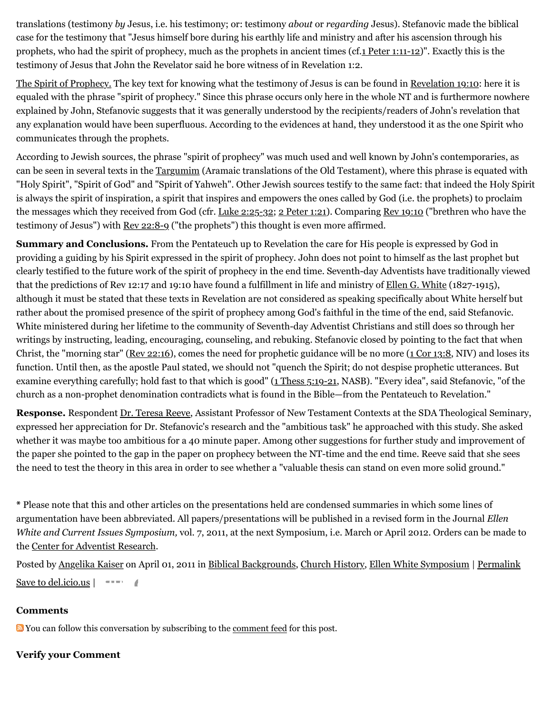translations (testimony *by* Jesus, i.e. his testimony; or: testimony *about* or *regarding* Jesus). Stefanovic made the biblical case for the testimony that "Jesus himself bore during his earthly life and ministry and after his ascension through his prophets, who had the spirit of prophecy, much as the prophets in ancient times (cf[.1 Peter 1:11-12\)](http://web.archive.org/web/20120716004735/http://www.biblegateway.com/passage/?search=1%20Peter%201:11-12&version=NKJV)". Exactly this is the testimony of Jesus that John the Revelator said he bore witness of in Revelation 1:2.

The Spirit of Prophecy. The key text for knowing what the testimony of Jesus is can be found in [Revelation 19:10](http://web.archive.org/web/20120716004735/http://www.biblegateway.com/passage/?search=Revelation%2019:10&version=NKJV): here it is equaled with the phrase "spirit of prophecy." Since this phrase occurs only here in the whole NT and is furthermore nowhere explained by John, Stefanovic suggests that it was generally understood by the recipients/readers of John's revelation that any explanation would have been superfluous. According to the evidences at hand, they understood it as the one Spirit who communicates through the prophets.

According to Jewish sources, the phrase "spirit of prophecy" was much used and well known by John's contemporaries, as can be seen in several texts in the [Targumim](http://web.archive.org/web/20120716004735/http://en.wikipedia.org/wiki/Targums) (Aramaic translations of the Old Testament), where this phrase is equated with "Holy Spirit", "Spirit of God" and "Spirit of Yahweh". Other Jewish sources testify to the same fact: that indeed the Holy Spirit is always the spirit of inspiration, a spirit that inspires and empowers the ones called by God (i.e. the prophets) to proclaim the messages which they received from God (cfr. [Luke 2:25-32](http://web.archive.org/web/20120716004735/http://www.biblegateway.com/passage/?search=Luke%202:25-32&version=NKJV); [2 Peter 1:21](http://web.archive.org/web/20120716004735/http://www.biblegateway.com/passage/?search=2%20pet%201:21&version=NKJV)). Comparing [Rev 19:10](http://web.archive.org/web/20120716004735/http://www.biblegateway.com/passage/?search=Revelation%2019:10&version=NKJV) ("brethren who have the testimony of Jesus") with [Rev 22:8-9](http://web.archive.org/web/20120716004735/http://www.biblegateway.com/passage/?search=Rev%2022:8-9&version=NKJV) ("the prophets") this thought is even more affirmed.

**Summary and Conclusions.** From the Pentateuch up to Revelation the care for His people is expressed by God in providing a guiding by his Spirit expressed in the spirit of prophecy. John does not point to himself as the last prophet but clearly testified to the future work of the spirit of prophecy in the end time. Seventh-day Adventists have traditionally viewed that the predictions of Rev 12:17 and 19:10 have found a fulfillment in life and ministry of [Ellen G. White](http://web.archive.org/web/20120716004735/http://www.whiteestate.org/about/egwbio.asp) (1827-1915), although it must be stated that these texts in Revelation are not considered as speaking specifically about White herself but rather about the promised presence of the spirit of prophecy among God's faithful in the time of the end, said Stefanovic. White ministered during her lifetime to the community of Seventh-day Adventist Christians and still does so through her writings by instructing, leading, encouraging, counseling, and rebuking. Stefanovic closed by pointing to the fact that when Christ, the "morning star" [\(Rev 22:16\)](http://web.archive.org/web/20120716004735/http://www.biblegateway.com/passage/?search=Rev%2022:16&version=NKJV), comes the need for prophetic guidance will be no more  $(1 \text{ Cor } 13:8, \text{ NIV})$  and loses its function. Until then, as the apostle Paul stated, we should not "quench the Spirit; do not despise prophetic utterances. But examine everything carefully; hold fast to that which is good" [\(1 Thess 5:19-21,](http://web.archive.org/web/20120716004735/http://www.biblegateway.com/passage/?search=1%20Thess%205:19-21&version=NASB) NASB). "Every idea", said Stefanovic, "of the church as a non-prophet denomination contradicts what is found in the Bible—from the Pentateuch to Revelation."

**Response.** Respondent [Dr. Teresa Reeve](http://web.archive.org/web/20120716004735/http://www.andrews.edu/sem/article.php?id=108), Assistant Professor of New Testament Contexts at the SDA Theological Seminary, expressed her appreciation for Dr. Stefanovic's research and the "ambitious task" he approached with this study. She asked whether it was maybe too ambitious for a 40 minute paper. Among other suggestions for further study and improvement of the paper she pointed to the gap in the paper on prophecy between the NT-time and the end time. Reeve said that she sees the need to test the theory in this area in order to see whether a "valuable thesis can stand on even more solid ground."

**\*** Please note that this and other articles on the presentations held are condensed summaries in which some lines of argumentation have been abbreviated. All papers/presentations will be published in a revised form in the Journal *Ellen White and Current Issues Symposium,* vol. 7, 2011, at the next Symposium, i.e. March or April 2012. Orders can be made to the [Center for Adventist Research.](http://web.archive.org/web/20120716004735/http://www.andrews.edu/library/car/index.html)

Posted by [Angelika Kaiser](http://web.archive.org/web/20120716004735/http://profile.typepad.com/angelika1) on April 01, 2011 in [Biblical Backgrounds](http://web.archive.org/web/20120716004735/http://www.memorymeaningfaith.org/blog/biblical-backgrounds/), [Church History](http://web.archive.org/web/20120716004735/http://www.memorymeaningfaith.org/blog/church-history/), [Ellen White Symposium](http://web.archive.org/web/20120716004735/http://www.memorymeaningfaith.org/blog/ellen-white-symposium/) | [Permalink](http://web.archive.org/web/20120716004735/http://www.memorymeaningfaith.org/blog/2011/04/2011-egw-symposium-gift-of-prophecy-and-the-church.html) [Save to del.icio.us](http://web.archive.org/web/20120716004735/http://del.icio.us/post) |

#### **Comments**

**N** You can follow this conversation by subscribing to the [comment feed](http://web.archive.org/web/20120716004735/http://www.memorymeaningfaith.org/blog/2011/04/2011-egw-symposium-gift-of-prophecy-and-the-church/comments/atom.xml) for this post.

### **Verify your Comment**